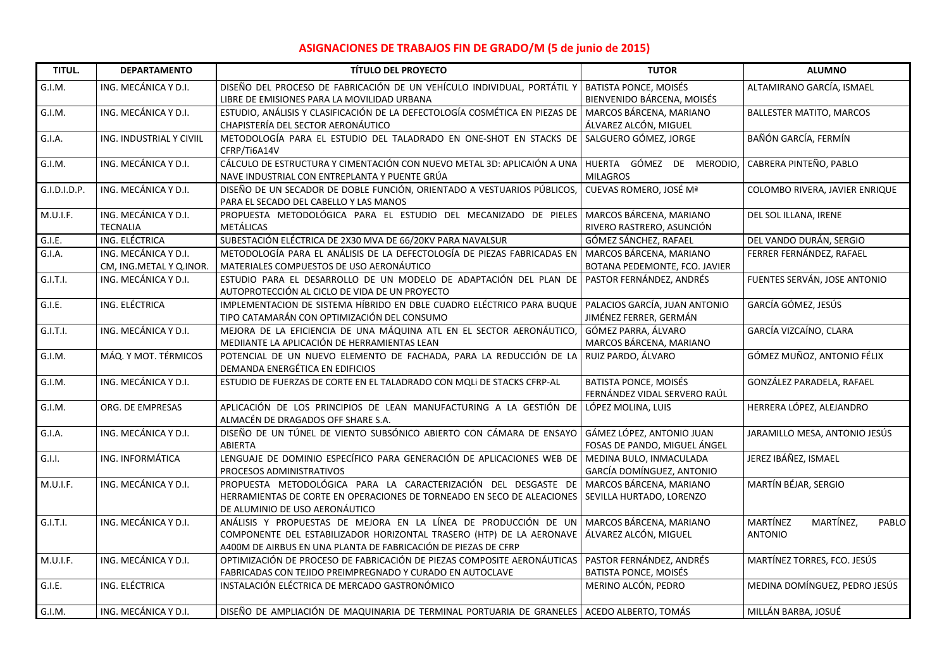## **ASIGNACIONES DE TRABAJOS FIN DE GRADO/M (5 de junio de 2015)**

| TITUL.       | <b>DEPARTAMENTO</b>                             | <b>TÍTULO DEL PROYECTO</b>                                                                                                                                                                                | <b>TUTOR</b>                                                 | <b>ALUMNO</b>                                    |
|--------------|-------------------------------------------------|-----------------------------------------------------------------------------------------------------------------------------------------------------------------------------------------------------------|--------------------------------------------------------------|--------------------------------------------------|
| G.I.M.       | ING. MECÁNICA Y D.I.                            | DISEÑO DEL PROCESO DE FABRICACIÓN DE UN VEHÍCULO INDIVIDUAL, PORTÁTIL Y<br>LIBRE DE EMISIONES PARA LA MOVILIDAD URBANA                                                                                    | <b>BATISTA PONCE, MOISÉS</b><br>BIENVENIDO BÁRCENA, MOISÉS   | ALTAMIRANO GARCÍA, ISMAEL                        |
| G.I.M.       | ING. MECÁNICA Y D.I.                            | ESTUDIO, ANÁLISIS Y CLASIFICACIÓN DE LA DEFECTOLOGÍA COSMÉTICA EN PIEZAS DE<br>CHAPISTERÍA DEL SECTOR AERONÁUTICO                                                                                         | MARCOS BÁRCENA, MARIANO<br>ÁLVAREZ ALCÓN, MIGUEL             | <b>BALLESTER MATITO, MARCOS</b>                  |
| G.I.A.       | ING. INDUSTRIAL Y CIVIIL                        | METODOLOGÍA PARA EL ESTUDIO DEL TALADRADO EN ONE-SHOT EN STACKS DE<br>CFRP/Ti6A14V                                                                                                                        | SALGUERO GÓMEZ, JORGE                                        | BAÑÓN GARCÍA, FERMÍN                             |
| G.I.M.       | ING. MECÁNICA Y D.I.                            | CÁLCULO DE ESTRUCTURA Y CIMENTACIÓN CON NUEVO METAL 3D: APLICAIÓN A UNA<br>NAVE INDUSTRIAL CON ENTREPLANTA Y PUENTE GRÚA                                                                                  | HUERTA GÓMEZ DE MERODIO,<br><b>MILAGROS</b>                  | CABRERA PINTEÑO, PABLO                           |
| G.I.D.I.D.P. | ING. MECÁNICA Y D.I.                            | DISEÑO DE UN SECADOR DE DOBLE FUNCIÓN, ORIENTADO A VESTUARIOS PÚBLICOS,<br>PARA EL SECADO DEL CABELLO Y LAS MANOS                                                                                         | CUEVAS ROMERO, JOSÉ Mª                                       | COLOMBO RIVERA, JAVIER ENRIQUE                   |
| M.U.I.F.     | ING. MECÁNICA Y D.I.<br><b>TECNALIA</b>         | PROPUESTA METODOLÓGICA PARA EL ESTUDIO DEL MECANIZADO DE PIELES<br>METÁLICAS                                                                                                                              | MARCOS BÁRCENA, MARIANO<br>RIVERO RASTRERO, ASUNCIÓN         | DEL SOL ILLANA, IRENE                            |
| G.I.E.       | ING. ELÉCTRICA                                  | SUBESTACIÓN ELÉCTRICA DE 2X30 MVA DE 66/20KV PARA NAVALSUR                                                                                                                                                | GÓMEZ SÁNCHEZ, RAFAEL                                        | DEL VANDO DURÁN, SERGIO                          |
| G.I.A.       | ING. MECÁNICA Y D.I.<br>CM, ING.METAL Y Q.INOR. | METODOLOGÍA PARA EL ANÁLISIS DE LA DEFECTOLOGÍA DE PIEZAS FABRICADAS EN<br>MATERIALES COMPUESTOS DE USO AERONÁUTICO                                                                                       | MARCOS BÁRCENA, MARIANO<br>BOTANA PEDEMONTE, FCO. JAVIER     | FERRER FERNÁNDEZ, RAFAEL                         |
| G.I.T.I.     | ING. MECÁNICA Y D.I.                            | ESTUDIO PARA EL DESARROLLO DE UN MODELO DE ADAPTACIÓN DEL PLAN DE<br>AUTOPROTECCIÓN AL CICLO DE VIDA DE UN PROYECTO                                                                                       | PASTOR FERNÁNDEZ, ANDRÉS                                     | FUENTES SERVÁN, JOSE ANTONIO                     |
| G.I.E.       | ING. ELÉCTRICA                                  | IMPLEMENTACION DE SISTEMA HÍBRIDO EN DBLE CUADRO ELÉCTRICO PARA BUQUE<br>TIPO CATAMARÁN CON OPTIMIZACIÓN DEL CONSUMO                                                                                      | PALACIOS GARCÍA, JUAN ANTONIO<br>JIMÉNEZ FERRER, GERMÁN      | GARCÍA GÓMEZ, JESÚS                              |
| G.I.T.I.     | ING. MECÁNICA Y D.I.                            | MEJORA DE LA EFICIENCIA DE UNA MÁQUINA ATL EN EL SECTOR AERONÁUTICO,<br>MEDIIANTE LA APLICACIÓN DE HERRAMIENTAS LEAN                                                                                      | GÓMEZ PARRA, ÁLVARO<br>MARCOS BÁRCENA, MARIANO               | GARCÍA VIZCAÍNO, CLARA                           |
| G.I.M.       | MÁQ. Y MOT. TÉRMICOS                            | POTENCIAL DE UN NUEVO ELEMENTO DE FACHADA, PARA LA REDUCCIÓN DE LA<br>DEMANDA ENERGÉTICA EN EDIFICIOS                                                                                                     | RUIZ PARDO, ÁLVARO                                           | GÓMEZ MUÑOZ, ANTONIO FÉLIX                       |
| G.I.M.       | ING. MECÁNICA Y D.I.                            | ESTUDIO DE FUERZAS DE CORTE EN EL TALADRADO CON MQLI DE STACKS CFRP-AL                                                                                                                                    | <b>BATISTA PONCE, MOISÉS</b><br>FERNÁNDEZ VIDAL SERVERO RAÚL | GONZÁLEZ PARADELA, RAFAEL                        |
| G.I.M.       | ORG. DE EMPRESAS                                | APLICACIÓN DE LOS PRINCIPIOS DE LEAN MANUFACTURING A LA GESTIÓN DE<br>ALMACÉN DE DRAGADOS OFF SHARE S.A.                                                                                                  | LÓPEZ MOLINA, LUIS                                           | HERRERA LÓPEZ, ALEJANDRO                         |
| G.I.A.       | ING. MECÁNICA Y D.I.                            | DISEÑO DE UN TÚNEL DE VIENTO SUBSÓNICO ABIERTO CON CÁMARA DE ENSAYO<br>ABIERTA                                                                                                                            | GÁMEZ LÓPEZ, ANTONIO JUAN<br>FOSAS DE PANDO, MIGUEL ÁNGEL    | JARAMILLO MESA, ANTONIO JESÚS                    |
| G.I.I.       | ING. INFORMÁTICA                                | LENGUAJE DE DOMINIO ESPECÍFICO PARA GENERACIÓN DE APLICACIONES WEB DE<br>PROCESOS ADMINISTRATIVOS                                                                                                         | MEDINA BULO, INMACULADA<br>GARCÍA DOMÍNGUEZ, ANTONIO         | JEREZ IBÁÑEZ, ISMAEL                             |
| M.U.I.F.     | ING. MECÁNICA Y D.I.                            | PROPUESTA METODOLÓGICA PARA LA CARACTERIZACIÓN DEL DESGASTE DE<br>HERRAMIENTAS DE CORTE EN OPERACIONES DE TORNEADO EN SECO DE ALEACIONES<br>DE ALUMINIO DE USO AERONÁUTICO                                | MARCOS BÁRCENA, MARIANO<br>SEVILLA HURTADO, LORENZO          | MARTÍN BÉJAR, SERGIO                             |
| G.I.T.I.     | ING. MECÁNICA Y D.I.                            | ANÁLISIS Y PROPUESTAS DE MEJORA EN LA LÍNEA DE PRODUCCIÓN DE UN<br>COMPONENTE DEL ESTABILIZADOR HORIZONTAL TRASERO (HTP) DE LA AERONAVE<br>A400M DE AIRBUS EN UNA PLANTA DE FABRICACIÓN DE PIEZAS DE CFRP | MARCOS BÁRCENA, MARIANO<br>ÁLVAREZ ALCÓN, MIGUEL             | MARTÍNEZ<br>MARTÍNEZ,<br>PABLO<br><b>ANTONIO</b> |
| M.U.I.F.     | ING. MECÁNICA Y D.I.                            | OPTIMIZACIÓN DE PROCESO DE FABRICACIÓN DE PIEZAS COMPOSITE AERONÁUTICAS<br>FABRICADAS CON TEJIDO PREIMPREGNADO Y CURADO EN AUTOCLAVE                                                                      | PASTOR FERNÁNDEZ, ANDRÉS<br>BATISTA PONCE, MOISÉS            | MARTÍNEZ TORRES, FCO. JESÚS                      |
| G.I.E.       | ING. ELÉCTRICA                                  | INSTALACIÓN ELÉCTRICA DE MERCADO GASTRONÓMICO                                                                                                                                                             | MERINO ALCÓN, PEDRO                                          | MEDINA DOMÍNGUEZ, PEDRO JESÚS                    |
| G.I.M.       | ING. MECÁNICA Y D.I.                            | DISEÑO DE AMPLIACIÓN DE MAQUINARIA DE TERMINAL PORTUARIA DE GRANELES ACEDO ALBERTO, TOMÁS                                                                                                                 |                                                              | MILLÁN BARBA, JOSUÉ                              |